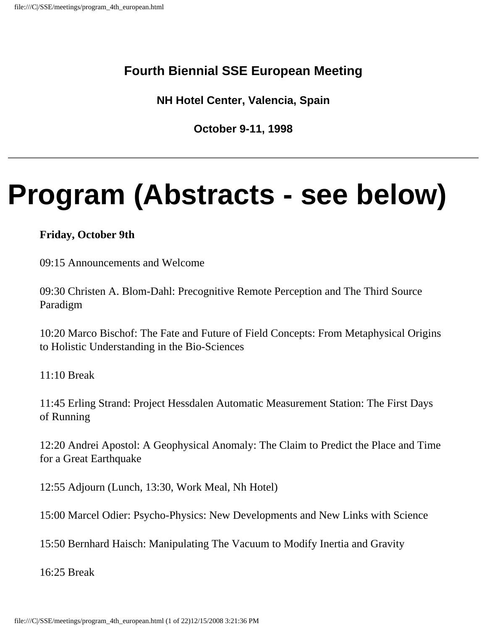## **Fourth Biennial SSE European Meeting**

**NH Hotel Center, Valencia, Spain**

**October 9-11, 1998**

# **Program (Abstracts - see below)**

#### **Friday, October 9th**

09:15 Announcements and Welcome

09:30 Christen A. Blom-Dahl: Precognitive Remote Perception and The Third Source Paradigm

10:20 Marco Bischof: The Fate and Future of Field Concepts: From Metaphysical Origins to Holistic Understanding in the Bio-Sciences

11:10 Break

11:45 Erling Strand: Project Hessdalen Automatic Measurement Station: The First Days of Running

12:20 Andrei Apostol: A Geophysical Anomaly: The Claim to Predict the Place and Time for a Great Earthquake

12:55 Adjourn (Lunch, 13:30, Work Meal, Nh Hotel)

15:00 Marcel Odier: Psycho-Physics: New Developments and New Links with Science

15:50 Bernhard Haisch: Manipulating The Vacuum to Modify Inertia and Gravity

16:25 Break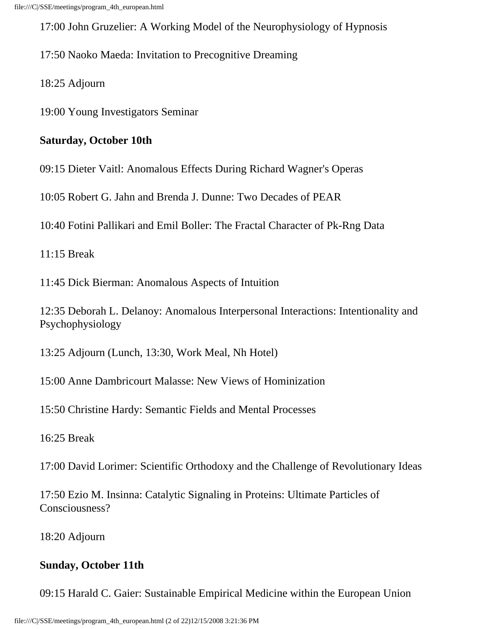17:00 John Gruzelier: A Working Model of the Neurophysiology of Hypnosis

17:50 Naoko Maeda: Invitation to Precognitive Dreaming

18:25 Adjourn

19:00 Young Investigators Seminar

#### **Saturday, October 10th**

09:15 Dieter Vaitl: Anomalous Effects During Richard Wagner's Operas

10:05 Robert G. Jahn and Brenda J. Dunne: Two Decades of PEAR

10:40 Fotini Pallikari and Emil Boller: The Fractal Character of Pk-Rng Data

11:15 Break

11:45 Dick Bierman: Anomalous Aspects of Intuition

12:35 Deborah L. Delanoy: Anomalous Interpersonal Interactions: Intentionality and Psychophysiology

13:25 Adjourn (Lunch, 13:30, Work Meal, Nh Hotel)

15:00 Anne Dambricourt Malasse: New Views of Hominization

15:50 Christine Hardy: Semantic Fields and Mental Processes

16:25 Break

17:00 David Lorimer: Scientific Orthodoxy and the Challenge of Revolutionary Ideas

17:50 Ezio M. Insinna: Catalytic Signaling in Proteins: Ultimate Particles of Consciousness?

18:20 Adjourn

#### **Sunday, October 11th**

09:15 Harald C. Gaier: Sustainable Empirical Medicine within the European Union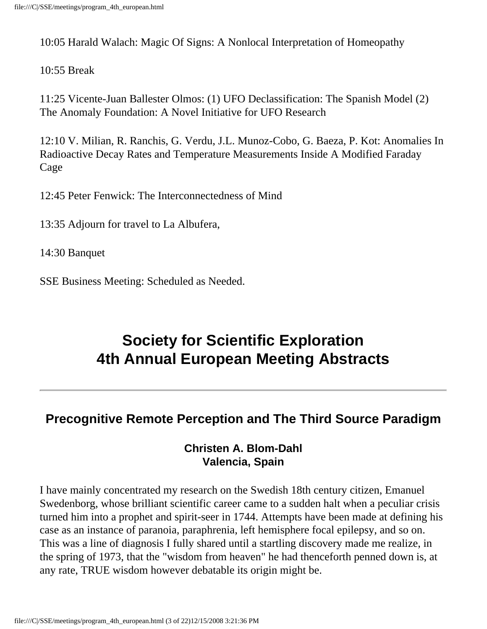10:05 Harald Walach: Magic Of Signs: A Nonlocal Interpretation of Homeopathy

#### 10:55 Break

11:25 Vicente-Juan Ballester Olmos: (1) UFO Declassification: The Spanish Model (2) The Anomaly Foundation: A Novel Initiative for UFO Research

12:10 V. Milian, R. Ranchis, G. Verdu, J.L. Munoz-Cobo, G. Baeza, P. Kot: Anomalies In Radioactive Decay Rates and Temperature Measurements Inside A Modified Faraday Cage

12:45 Peter Fenwick: The Interconnectedness of Mind

13:35 Adjourn for travel to La Albufera,

14:30 Banquet

SSE Business Meeting: Scheduled as Needed.

# **Society for Scientific Exploration 4th Annual European Meeting Abstracts**

# **Precognitive Remote Perception and The Third Source Paradigm**

#### **Christen A. Blom-Dahl Valencia, Spain**

I have mainly concentrated my research on the Swedish 18th century citizen, Emanuel Swedenborg, whose brilliant scientific career came to a sudden halt when a peculiar crisis turned him into a prophet and spirit-seer in 1744. Attempts have been made at defining his case as an instance of paranoia, paraphrenia, left hemisphere focal epilepsy, and so on. This was a line of diagnosis I fully shared until a startling discovery made me realize, in the spring of 1973, that the "wisdom from heaven" he had thenceforth penned down is, at any rate, TRUE wisdom however debatable its origin might be.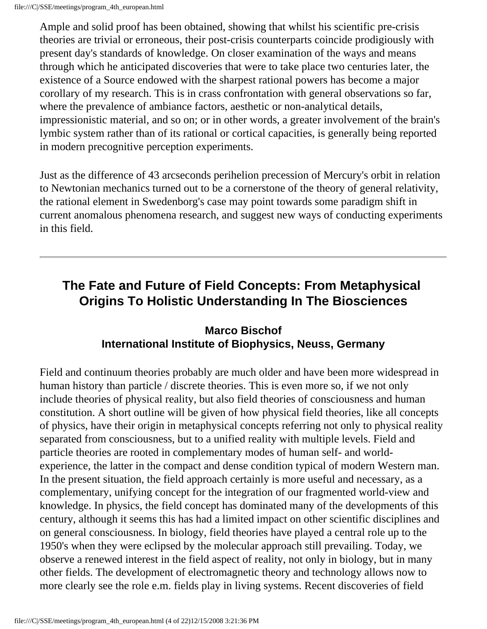Ample and solid proof has been obtained, showing that whilst his scientific pre-crisis theories are trivial or erroneous, their post-crisis counterparts coincide prodigiously with present day's standards of knowledge. On closer examination of the ways and means through which he anticipated discoveries that were to take place two centuries later, the existence of a Source endowed with the sharpest rational powers has become a major corollary of my research. This is in crass confrontation with general observations so far, where the prevalence of ambiance factors, aesthetic or non-analytical details, impressionistic material, and so on; or in other words, a greater involvement of the brain's lymbic system rather than of its rational or cortical capacities, is generally being reported in modern precognitive perception experiments.

Just as the difference of 43 arcseconds perihelion precession of Mercury's orbit in relation to Newtonian mechanics turned out to be a cornerstone of the theory of general relativity, the rational element in Swedenborg's case may point towards some paradigm shift in current anomalous phenomena research, and suggest new ways of conducting experiments in this field.

# **The Fate and Future of Field Concepts: From Metaphysical Origins To Holistic Understanding In The Biosciences**

## **Marco Bischof International Institute of Biophysics, Neuss, Germany**

Field and continuum theories probably are much older and have been more widespread in human history than particle / discrete theories. This is even more so, if we not only include theories of physical reality, but also field theories of consciousness and human constitution. A short outline will be given of how physical field theories, like all concepts of physics, have their origin in metaphysical concepts referring not only to physical reality separated from consciousness, but to a unified reality with multiple levels. Field and particle theories are rooted in complementary modes of human self- and worldexperience, the latter in the compact and dense condition typical of modern Western man. In the present situation, the field approach certainly is more useful and necessary, as a complementary, unifying concept for the integration of our fragmented world-view and knowledge. In physics, the field concept has dominated many of the developments of this century, although it seems this has had a limited impact on other scientific disciplines and on general consciousness. In biology, field theories have played a central role up to the 1950's when they were eclipsed by the molecular approach still prevailing. Today, we observe a renewed interest in the field aspect of reality, not only in biology, but in many other fields. The development of electromagnetic theory and technology allows now to more clearly see the role e.m. fields play in living systems. Recent discoveries of field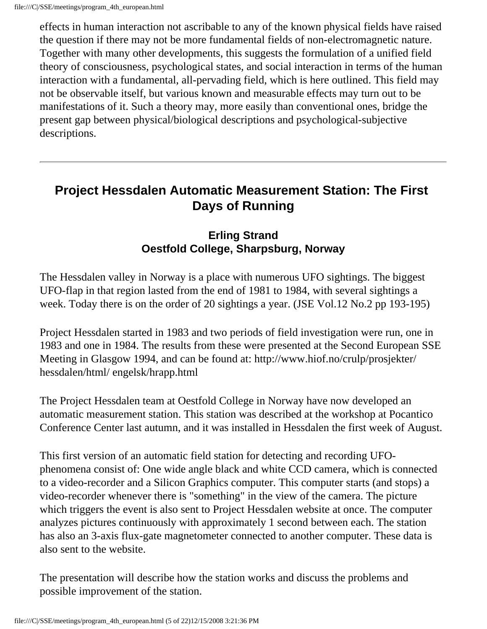effects in human interaction not ascribable to any of the known physical fields have raised the question if there may not be more fundamental fields of non-electromagnetic nature. Together with many other developments, this suggests the formulation of a unified field theory of consciousness, psychological states, and social interaction in terms of the human interaction with a fundamental, all-pervading field, which is here outlined. This field may not be observable itself, but various known and measurable effects may turn out to be manifestations of it. Such a theory may, more easily than conventional ones, bridge the present gap between physical/biological descriptions and psychological-subjective descriptions.

## **Project Hessdalen Automatic Measurement Station: The First Days of Running**

#### **Erling Strand Oestfold College, Sharpsburg, Norway**

The Hessdalen valley in Norway is a place with numerous UFO sightings. The biggest UFO-flap in that region lasted from the end of 1981 to 1984, with several sightings a week. Today there is on the order of 20 sightings a year. (JSE Vol.12 No.2 pp 193-195)

Project Hessdalen started in 1983 and two periods of field investigation were run, one in 1983 and one in 1984. The results from these were presented at the Second European SSE Meeting in Glasgow 1994, and can be found at: http://www.hiof.no/crulp/prosjekter/ hessdalen/html/ engelsk/hrapp.html

The Project Hessdalen team at Oestfold College in Norway have now developed an automatic measurement station. This station was described at the workshop at Pocantico Conference Center last autumn, and it was installed in Hessdalen the first week of August.

This first version of an automatic field station for detecting and recording UFOphenomena consist of: One wide angle black and white CCD camera, which is connected to a video-recorder and a Silicon Graphics computer. This computer starts (and stops) a video-recorder whenever there is "something" in the view of the camera. The picture which triggers the event is also sent to Project Hessdalen website at once. The computer analyzes pictures continuously with approximately 1 second between each. The station has also an 3-axis flux-gate magnetometer connected to another computer. These data is also sent to the website.

The presentation will describe how the station works and discuss the problems and possible improvement of the station.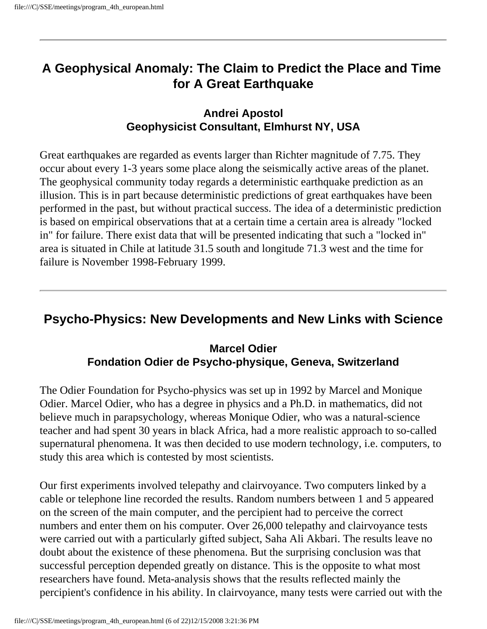# **A Geophysical Anomaly: The Claim to Predict the Place and Time for A Great Earthquake**

#### **Andrei Apostol Geophysicist Consultant, Elmhurst NY, USA**

Great earthquakes are regarded as events larger than Richter magnitude of 7.75. They occur about every 1-3 years some place along the seismically active areas of the planet. The geophysical community today regards a deterministic earthquake prediction as an illusion. This is in part because deterministic predictions of great earthquakes have been performed in the past, but without practical success. The idea of a deterministic prediction is based on empirical observations that at a certain time a certain area is already "locked in" for failure. There exist data that will be presented indicating that such a "locked in" area is situated in Chile at latitude 31.5 south and longitude 71.3 west and the time for failure is November 1998-February 1999.

## **Psycho-Physics: New Developments and New Links with Science**

#### **Marcel Odier Fondation Odier de Psycho-physique, Geneva, Switzerland**

The Odier Foundation for Psycho-physics was set up in 1992 by Marcel and Monique Odier. Marcel Odier, who has a degree in physics and a Ph.D. in mathematics, did not believe much in parapsychology, whereas Monique Odier, who was a natural-science teacher and had spent 30 years in black Africa, had a more realistic approach to so-called supernatural phenomena. It was then decided to use modern technology, i.e. computers, to study this area which is contested by most scientists.

Our first experiments involved telepathy and clairvoyance. Two computers linked by a cable or telephone line recorded the results. Random numbers between 1 and 5 appeared on the screen of the main computer, and the percipient had to perceive the correct numbers and enter them on his computer. Over 26,000 telepathy and clairvoyance tests were carried out with a particularly gifted subject, Saha Ali Akbari. The results leave no doubt about the existence of these phenomena. But the surprising conclusion was that successful perception depended greatly on distance. This is the opposite to what most researchers have found. Meta-analysis shows that the results reflected mainly the percipient's confidence in his ability. In clairvoyance, many tests were carried out with the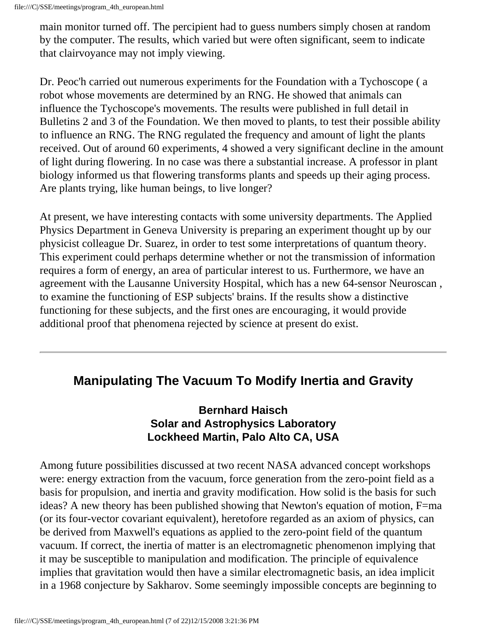main monitor turned off. The percipient had to guess numbers simply chosen at random by the computer. The results, which varied but were often significant, seem to indicate that clairvoyance may not imply viewing.

Dr. Peoc'h carried out numerous experiments for the Foundation with a Tychoscope ( a robot whose movements are determined by an RNG. He showed that animals can influence the Tychoscope's movements. The results were published in full detail in Bulletins 2 and 3 of the Foundation. We then moved to plants, to test their possible ability to influence an RNG. The RNG regulated the frequency and amount of light the plants received. Out of around 60 experiments, 4 showed a very significant decline in the amount of light during flowering. In no case was there a substantial increase. A professor in plant biology informed us that flowering transforms plants and speeds up their aging process. Are plants trying, like human beings, to live longer?

At present, we have interesting contacts with some university departments. The Applied Physics Department in Geneva University is preparing an experiment thought up by our physicist colleague Dr. Suarez, in order to test some interpretations of quantum theory. This experiment could perhaps determine whether or not the transmission of information requires a form of energy, an area of particular interest to us. Furthermore, we have an agreement with the Lausanne University Hospital, which has a new 64-sensor Neuroscan , to examine the functioning of ESP subjects' brains. If the results show a distinctive functioning for these subjects, and the first ones are encouraging, it would provide additional proof that phenomena rejected by science at present do exist.

## **Manipulating The Vacuum To Modify Inertia and Gravity**

#### **Bernhard Haisch Solar and Astrophysics Laboratory Lockheed Martin, Palo Alto CA, USA**

Among future possibilities discussed at two recent NASA advanced concept workshops were: energy extraction from the vacuum, force generation from the zero-point field as a basis for propulsion, and inertia and gravity modification. How solid is the basis for such ideas? A new theory has been published showing that Newton's equation of motion, F=ma (or its four-vector covariant equivalent), heretofore regarded as an axiom of physics, can be derived from Maxwell's equations as applied to the zero-point field of the quantum vacuum. If correct, the inertia of matter is an electromagnetic phenomenon implying that it may be susceptible to manipulation and modification. The principle of equivalence implies that gravitation would then have a similar electromagnetic basis, an idea implicit in a 1968 conjecture by Sakharov. Some seemingly impossible concepts are beginning to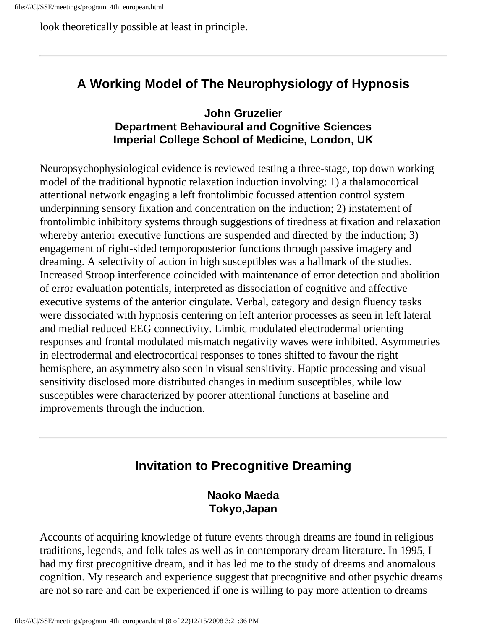look theoretically possible at least in principle.

# **A Working Model of The Neurophysiology of Hypnosis**

#### **John Gruzelier Department Behavioural and Cognitive Sciences Imperial College School of Medicine, London, UK**

Neuropsychophysiological evidence is reviewed testing a three-stage, top down working model of the traditional hypnotic relaxation induction involving: 1) a thalamocortical attentional network engaging a left frontolimbic focussed attention control system underpinning sensory fixation and concentration on the induction; 2) instatement of frontolimbic inhibitory systems through suggestions of tiredness at fixation and relaxation whereby anterior executive functions are suspended and directed by the induction; 3) engagement of right-sided temporoposterior functions through passive imagery and dreaming. A selectivity of action in high susceptibles was a hallmark of the studies. Increased Stroop interference coincided with maintenance of error detection and abolition of error evaluation potentials, interpreted as dissociation of cognitive and affective executive systems of the anterior cingulate. Verbal, category and design fluency tasks were dissociated with hypnosis centering on left anterior processes as seen in left lateral and medial reduced EEG connectivity. Limbic modulated electrodermal orienting responses and frontal modulated mismatch negativity waves were inhibited. Asymmetries in electrodermal and electrocortical responses to tones shifted to favour the right hemisphere, an asymmetry also seen in visual sensitivity. Haptic processing and visual sensitivity disclosed more distributed changes in medium susceptibles, while low susceptibles were characterized by poorer attentional functions at baseline and improvements through the induction.

# **Invitation to Precognitive Dreaming**

**Naoko Maeda Tokyo,Japan**

Accounts of acquiring knowledge of future events through dreams are found in religious traditions, legends, and folk tales as well as in contemporary dream literature. In 1995, I had my first precognitive dream, and it has led me to the study of dreams and anomalous cognition. My research and experience suggest that precognitive and other psychic dreams are not so rare and can be experienced if one is willing to pay more attention to dreams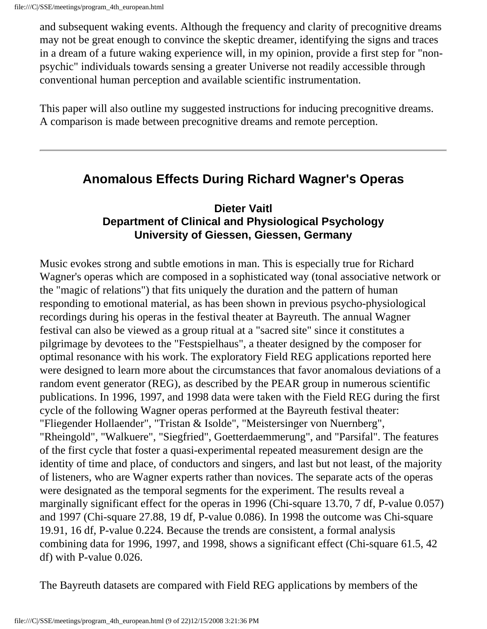and subsequent waking events. Although the frequency and clarity of precognitive dreams may not be great enough to convince the skeptic dreamer, identifying the signs and traces in a dream of a future waking experience will, in my opinion, provide a first step for "nonpsychic" individuals towards sensing a greater Universe not readily accessible through conventional human perception and available scientific instrumentation.

This paper will also outline my suggested instructions for inducing precognitive dreams. A comparison is made between precognitive dreams and remote perception.

## **Anomalous Effects During Richard Wagner's Operas**

#### **Dieter Vaitl Department of Clinical and Physiological Psychology University of Giessen, Giessen, Germany**

Music evokes strong and subtle emotions in man. This is especially true for Richard Wagner's operas which are composed in a sophisticated way (tonal associative network or the "magic of relations") that fits uniquely the duration and the pattern of human responding to emotional material, as has been shown in previous psycho-physiological recordings during his operas in the festival theater at Bayreuth. The annual Wagner festival can also be viewed as a group ritual at a "sacred site" since it constitutes a pilgrimage by devotees to the "Festspielhaus", a theater designed by the composer for optimal resonance with his work. The exploratory Field REG applications reported here were designed to learn more about the circumstances that favor anomalous deviations of a random event generator (REG), as described by the PEAR group in numerous scientific publications. In 1996, 1997, and 1998 data were taken with the Field REG during the first cycle of the following Wagner operas performed at the Bayreuth festival theater: "Fliegender Hollaender", "Tristan & Isolde", "Meistersinger von Nuernberg", "Rheingold", "Walkuere", "Siegfried", Goetterdaemmerung", and "Parsifal". The features of the first cycle that foster a quasi-experimental repeated measurement design are the identity of time and place, of conductors and singers, and last but not least, of the majority of listeners, who are Wagner experts rather than novices. The separate acts of the operas were designated as the temporal segments for the experiment. The results reveal a marginally significant effect for the operas in 1996 (Chi-square 13.70, 7 df, P-value 0.057) and 1997 (Chi-square 27.88, 19 df, P-value 0.086). In 1998 the outcome was Chi-square 19.91, 16 df, P-value 0.224. Because the trends are consistent, a formal analysis combining data for 1996, 1997, and 1998, shows a significant effect (Chi-square 61.5, 42 df) with P-value 0.026.

The Bayreuth datasets are compared with Field REG applications by members of the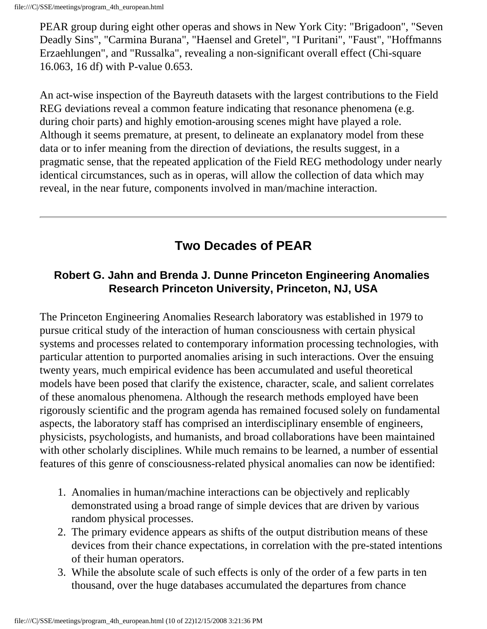PEAR group during eight other operas and shows in New York City: "Brigadoon", "Seven Deadly Sins", "Carmina Burana", "Haensel and Gretel", "I Puritani", "Faust", "Hoffmanns Erzaehlungen", and "Russalka", revealing a non-significant overall effect (Chi-square 16.063, 16 df) with P-value 0.653.

An act-wise inspection of the Bayreuth datasets with the largest contributions to the Field REG deviations reveal a common feature indicating that resonance phenomena (e.g. during choir parts) and highly emotion-arousing scenes might have played a role. Although it seems premature, at present, to delineate an explanatory model from these data or to infer meaning from the direction of deviations, the results suggest, in a pragmatic sense, that the repeated application of the Field REG methodology under nearly identical circumstances, such as in operas, will allow the collection of data which may reveal, in the near future, components involved in man/machine interaction.

# **Two Decades of PEAR**

#### **Robert G. Jahn and Brenda J. Dunne Princeton Engineering Anomalies Research Princeton University, Princeton, NJ, USA**

The Princeton Engineering Anomalies Research laboratory was established in 1979 to pursue critical study of the interaction of human consciousness with certain physical systems and processes related to contemporary information processing technologies, with particular attention to purported anomalies arising in such interactions. Over the ensuing twenty years, much empirical evidence has been accumulated and useful theoretical models have been posed that clarify the existence, character, scale, and salient correlates of these anomalous phenomena. Although the research methods employed have been rigorously scientific and the program agenda has remained focused solely on fundamental aspects, the laboratory staff has comprised an interdisciplinary ensemble of engineers, physicists, psychologists, and humanists, and broad collaborations have been maintained with other scholarly disciplines. While much remains to be learned, a number of essential features of this genre of consciousness-related physical anomalies can now be identified:

- 1. Anomalies in human/machine interactions can be objectively and replicably demonstrated using a broad range of simple devices that are driven by various random physical processes.
- 2. The primary evidence appears as shifts of the output distribution means of these devices from their chance expectations, in correlation with the pre-stated intentions of their human operators.
- 3. While the absolute scale of such effects is only of the order of a few parts in ten thousand, over the huge databases accumulated the departures from chance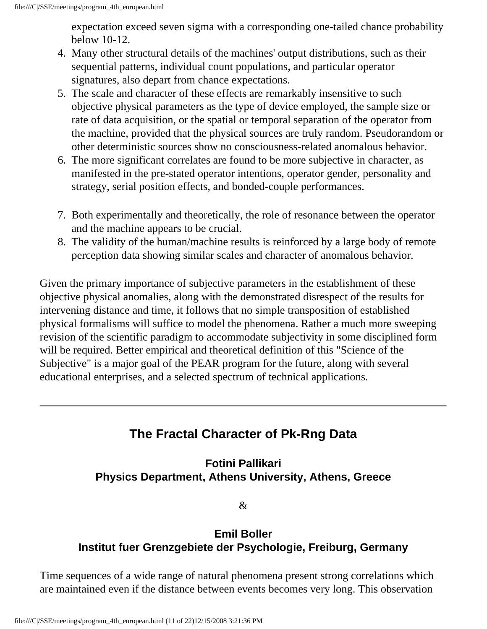expectation exceed seven sigma with a corresponding one-tailed chance probability below 10-12.

- 4. Many other structural details of the machines' output distributions, such as their sequential patterns, individual count populations, and particular operator signatures, also depart from chance expectations.
- 5. The scale and character of these effects are remarkably insensitive to such objective physical parameters as the type of device employed, the sample size or rate of data acquisition, or the spatial or temporal separation of the operator from the machine, provided that the physical sources are truly random. Pseudorandom or other deterministic sources show no consciousness-related anomalous behavior.
- 6. The more significant correlates are found to be more subjective in character, as manifested in the pre-stated operator intentions, operator gender, personality and strategy, serial position effects, and bonded-couple performances.
- 7. Both experimentally and theoretically, the role of resonance between the operator and the machine appears to be crucial.
- 8. The validity of the human/machine results is reinforced by a large body of remote perception data showing similar scales and character of anomalous behavior.

Given the primary importance of subjective parameters in the establishment of these objective physical anomalies, along with the demonstrated disrespect of the results for intervening distance and time, it follows that no simple transposition of established physical formalisms will suffice to model the phenomena. Rather a much more sweeping revision of the scientific paradigm to accommodate subjectivity in some disciplined form will be required. Better empirical and theoretical definition of this "Science of the Subjective" is a major goal of the PEAR program for the future, along with several educational enterprises, and a selected spectrum of technical applications.

# **The Fractal Character of Pk-Rng Data**

## **Fotini Pallikari Physics Department, Athens University, Athens, Greece**

&

#### **Emil Boller Institut fuer Grenzgebiete der Psychologie, Freiburg, Germany**

Time sequences of a wide range of natural phenomena present strong correlations which are maintained even if the distance between events becomes very long. This observation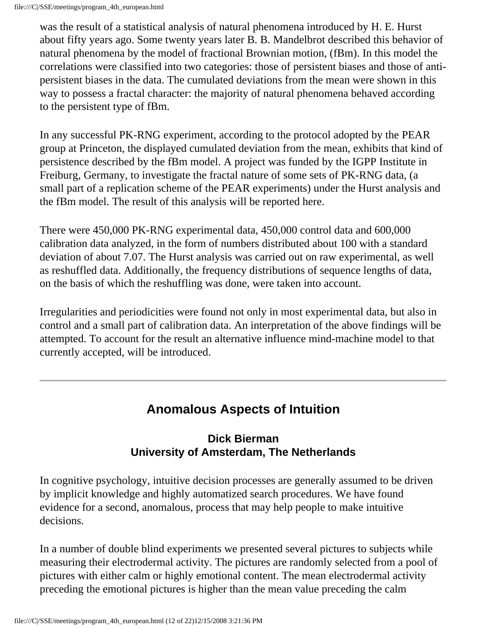was the result of a statistical analysis of natural phenomena introduced by H. E. Hurst about fifty years ago. Some twenty years later B. B. Mandelbrot described this behavior of natural phenomena by the model of fractional Brownian motion, (fBm). In this model the correlations were classified into two categories: those of persistent biases and those of antipersistent biases in the data. The cumulated deviations from the mean were shown in this way to possess a fractal character: the majority of natural phenomena behaved according to the persistent type of fBm.

In any successful PK-RNG experiment, according to the protocol adopted by the PEAR group at Princeton, the displayed cumulated deviation from the mean, exhibits that kind of persistence described by the fBm model. A project was funded by the IGPP Institute in Freiburg, Germany, to investigate the fractal nature of some sets of PK-RNG data, (a small part of a replication scheme of the PEAR experiments) under the Hurst analysis and the fBm model. The result of this analysis will be reported here.

There were 450,000 PK-RNG experimental data, 450,000 control data and 600,000 calibration data analyzed, in the form of numbers distributed about 100 with a standard deviation of about 7.07. The Hurst analysis was carried out on raw experimental, as well as reshuffled data. Additionally, the frequency distributions of sequence lengths of data, on the basis of which the reshuffling was done, were taken into account.

Irregularities and periodicities were found not only in most experimental data, but also in control and a small part of calibration data. An interpretation of the above findings will be attempted. To account for the result an alternative influence mind-machine model to that currently accepted, will be introduced.

# **Anomalous Aspects of Intuition**

#### **Dick Bierman University of Amsterdam, The Netherlands**

In cognitive psychology, intuitive decision processes are generally assumed to be driven by implicit knowledge and highly automatized search procedures. We have found evidence for a second, anomalous, process that may help people to make intuitive decisions.

In a number of double blind experiments we presented several pictures to subjects while measuring their electrodermal activity. The pictures are randomly selected from a pool of pictures with either calm or highly emotional content. The mean electrodermal activity preceding the emotional pictures is higher than the mean value preceding the calm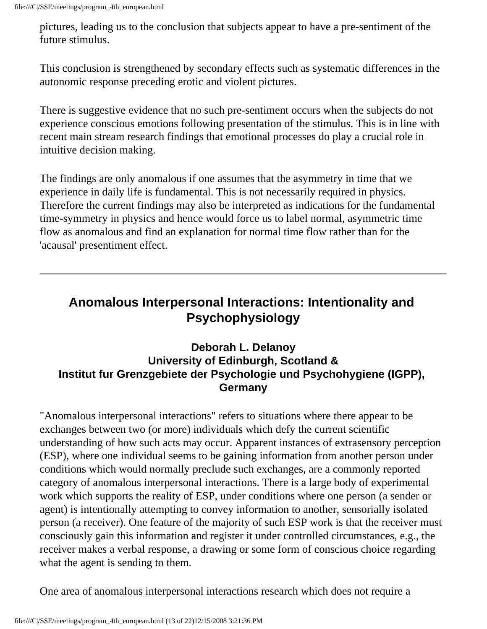pictures, leading us to the conclusion that subjects appear to have a pre-sentiment of the future stimulus.

This conclusion is strengthened by secondary effects such as systematic differences in the autonomic response preceding erotic and violent pictures.

There is suggestive evidence that no such pre-sentiment occurs when the subjects do not experience conscious emotions following presentation of the stimulus. This is in line with recent main stream research findings that emotional processes do play a crucial role in intuitive decision making.

The findings are only anomalous if one assumes that the asymmetry in time that we experience in daily life is fundamental. This is not necessarily required in physics. Therefore the current findings may also be interpreted as indications for the fundamental time-symmetry in physics and hence would force us to label normal, asymmetric time flow as anomalous and find an explanation for normal time flow rather than for the 'acausal' presentiment effect.

## **Anomalous Interpersonal Interactions: Intentionality and Psychophysiology**

#### **Deborah L. Delanoy University of Edinburgh, Scotland & Institut fur Grenzgebiete der Psychologie und Psychohygiene (IGPP), Germany**

"Anomalous interpersonal interactions" refers to situations where there appear to be exchanges between two (or more) individuals which defy the current scientific understanding of how such acts may occur. Apparent instances of extrasensory perception (ESP), where one individual seems to be gaining information from another person under conditions which would normally preclude such exchanges, are a commonly reported category of anomalous interpersonal interactions. There is a large body of experimental work which supports the reality of ESP, under conditions where one person (a sender or agent) is intentionally attempting to convey information to another, sensorially isolated person (a receiver). One feature of the majority of such ESP work is that the receiver must consciously gain this information and register it under controlled circumstances, e.g., the receiver makes a verbal response, a drawing or some form of conscious choice regarding what the agent is sending to them.

One area of anomalous interpersonal interactions research which does not require a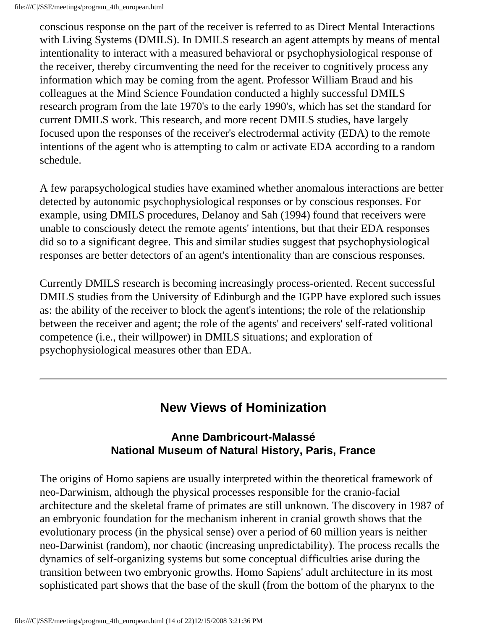conscious response on the part of the receiver is referred to as Direct Mental Interactions with Living Systems (DMILS). In DMILS research an agent attempts by means of mental intentionality to interact with a measured behavioral or psychophysiological response of the receiver, thereby circumventing the need for the receiver to cognitively process any information which may be coming from the agent. Professor William Braud and his colleagues at the Mind Science Foundation conducted a highly successful DMILS research program from the late 1970's to the early 1990's, which has set the standard for current DMILS work. This research, and more recent DMILS studies, have largely focused upon the responses of the receiver's electrodermal activity (EDA) to the remote intentions of the agent who is attempting to calm or activate EDA according to a random schedule.

A few parapsychological studies have examined whether anomalous interactions are better detected by autonomic psychophysiological responses or by conscious responses. For example, using DMILS procedures, Delanoy and Sah (1994) found that receivers were unable to consciously detect the remote agents' intentions, but that their EDA responses did so to a significant degree. This and similar studies suggest that psychophysiological responses are better detectors of an agent's intentionality than are conscious responses.

Currently DMILS research is becoming increasingly process-oriented. Recent successful DMILS studies from the University of Edinburgh and the IGPP have explored such issues as: the ability of the receiver to block the agent's intentions; the role of the relationship between the receiver and agent; the role of the agents' and receivers' self-rated volitional competence (i.e., their willpower) in DMILS situations; and exploration of psychophysiological measures other than EDA.

# **New Views of Hominization**

#### **Anne Dambricourt-Malassé National Museum of Natural History, Paris, France**

The origins of Homo sapiens are usually interpreted within the theoretical framework of neo-Darwinism, although the physical processes responsible for the cranio-facial architecture and the skeletal frame of primates are still unknown. The discovery in 1987 of an embryonic foundation for the mechanism inherent in cranial growth shows that the evolutionary process (in the physical sense) over a period of 60 million years is neither neo-Darwinist (random), nor chaotic (increasing unpredictability). The process recalls the dynamics of self-organizing systems but some conceptual difficulties arise during the transition between two embryonic growths. Homo Sapiens' adult architecture in its most sophisticated part shows that the base of the skull (from the bottom of the pharynx to the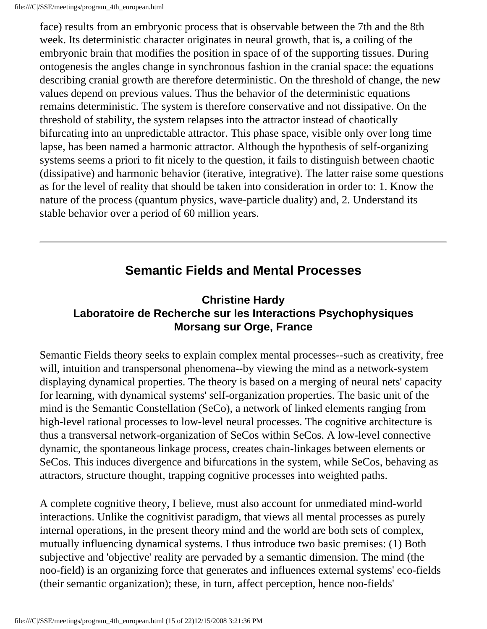face) results from an embryonic process that is observable between the 7th and the 8th week. Its deterministic character originates in neural growth, that is, a coiling of the embryonic brain that modifies the position in space of of the supporting tissues. During ontogenesis the angles change in synchronous fashion in the cranial space: the equations describing cranial growth are therefore deterministic. On the threshold of change, the new values depend on previous values. Thus the behavior of the deterministic equations remains deterministic. The system is therefore conservative and not dissipative. On the threshold of stability, the system relapses into the attractor instead of chaotically bifurcating into an unpredictable attractor. This phase space, visible only over long time lapse, has been named a harmonic attractor. Although the hypothesis of self-organizing systems seems a priori to fit nicely to the question, it fails to distinguish between chaotic (dissipative) and harmonic behavior (iterative, integrative). The latter raise some questions as for the level of reality that should be taken into consideration in order to: 1. Know the nature of the process (quantum physics, wave-particle duality) and, 2. Understand its stable behavior over a period of 60 million years.

## **Semantic Fields and Mental Processes**

#### **Christine Hardy Laboratoire de Recherche sur les Interactions Psychophysiques Morsang sur Orge, France**

Semantic Fields theory seeks to explain complex mental processes--such as creativity, free will, intuition and transpersonal phenomena--by viewing the mind as a network-system displaying dynamical properties. The theory is based on a merging of neural nets' capacity for learning, with dynamical systems' self-organization properties. The basic unit of the mind is the Semantic Constellation (SeCo), a network of linked elements ranging from high-level rational processes to low-level neural processes. The cognitive architecture is thus a transversal network-organization of SeCos within SeCos. A low-level connective dynamic, the spontaneous linkage process, creates chain-linkages between elements or SeCos. This induces divergence and bifurcations in the system, while SeCos, behaving as attractors, structure thought, trapping cognitive processes into weighted paths.

A complete cognitive theory, I believe, must also account for unmediated mind-world interactions. Unlike the cognitivist paradigm, that views all mental processes as purely internal operations, in the present theory mind and the world are both sets of complex, mutually influencing dynamical systems. I thus introduce two basic premises: (1) Both subjective and 'objective' reality are pervaded by a semantic dimension. The mind (the noo-field) is an organizing force that generates and influences external systems' eco-fields (their semantic organization); these, in turn, affect perception, hence noo-fields'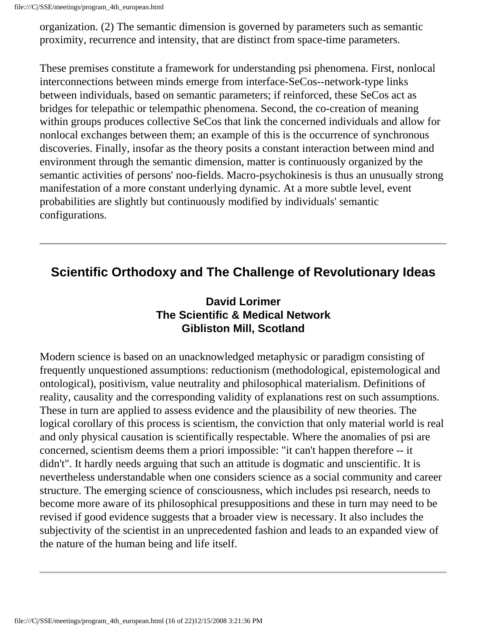file:///C|/SSE/meetings/program\_4th\_european.html

organization. (2) The semantic dimension is governed by parameters such as semantic proximity, recurrence and intensity, that are distinct from space-time parameters.

These premises constitute a framework for understanding psi phenomena. First, nonlocal interconnections between minds emerge from interface-SeCos--network-type links between individuals, based on semantic parameters; if reinforced, these SeCos act as bridges for telepathic or telempathic phenomena. Second, the co-creation of meaning within groups produces collective SeCos that link the concerned individuals and allow for nonlocal exchanges between them; an example of this is the occurrence of synchronous discoveries. Finally, insofar as the theory posits a constant interaction between mind and environment through the semantic dimension, matter is continuously organized by the semantic activities of persons' noo-fields. Macro-psychokinesis is thus an unusually strong manifestation of a more constant underlying dynamic. At a more subtle level, event probabilities are slightly but continuously modified by individuals' semantic configurations.

# **Scientific Orthodoxy and The Challenge of Revolutionary Ideas**

#### **David Lorimer The Scientific & Medical Network Gibliston Mill, Scotland**

Modern science is based on an unacknowledged metaphysic or paradigm consisting of frequently unquestioned assumptions: reductionism (methodological, epistemological and ontological), positivism, value neutrality and philosophical materialism. Definitions of reality, causality and the corresponding validity of explanations rest on such assumptions. These in turn are applied to assess evidence and the plausibility of new theories. The logical corollary of this process is scientism, the conviction that only material world is real and only physical causation is scientifically respectable. Where the anomalies of psi are concerned, scientism deems them a priori impossible: "it can't happen therefore -- it didn't". It hardly needs arguing that such an attitude is dogmatic and unscientific. It is nevertheless understandable when one considers science as a social community and career structure. The emerging science of consciousness, which includes psi research, needs to become more aware of its philosophical presuppositions and these in turn may need to be revised if good evidence suggests that a broader view is necessary. It also includes the subjectivity of the scientist in an unprecedented fashion and leads to an expanded view of the nature of the human being and life itself.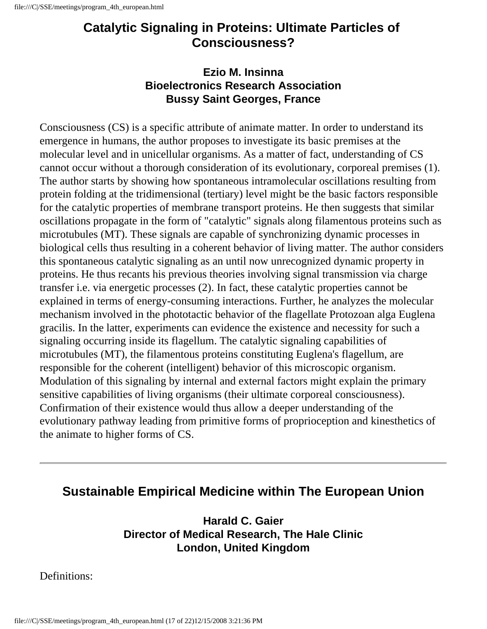## **Catalytic Signaling in Proteins: Ultimate Particles of Consciousness?**

#### **Ezio M. Insinna Bioelectronics Research Association Bussy Saint Georges, France**

Consciousness (CS) is a specific attribute of animate matter. In order to understand its emergence in humans, the author proposes to investigate its basic premises at the molecular level and in unicellular organisms. As a matter of fact, understanding of CS cannot occur without a thorough consideration of its evolutionary, corporeal premises (1). The author starts by showing how spontaneous intramolecular oscillations resulting from protein folding at the tridimensional (tertiary) level might be the basic factors responsible for the catalytic properties of membrane transport proteins. He then suggests that similar oscillations propagate in the form of "catalytic" signals along filamentous proteins such as microtubules (MT). These signals are capable of synchronizing dynamic processes in biological cells thus resulting in a coherent behavior of living matter. The author considers this spontaneous catalytic signaling as an until now unrecognized dynamic property in proteins. He thus recants his previous theories involving signal transmission via charge transfer i.e. via energetic processes (2). In fact, these catalytic properties cannot be explained in terms of energy-consuming interactions. Further, he analyzes the molecular mechanism involved in the phototactic behavior of the flagellate Protozoan alga Euglena gracilis. In the latter, experiments can evidence the existence and necessity for such a signaling occurring inside its flagellum. The catalytic signaling capabilities of microtubules (MT), the filamentous proteins constituting Euglena's flagellum, are responsible for the coherent (intelligent) behavior of this microscopic organism. Modulation of this signaling by internal and external factors might explain the primary sensitive capabilities of living organisms (their ultimate corporeal consciousness). Confirmation of their existence would thus allow a deeper understanding of the evolutionary pathway leading from primitive forms of proprioception and kinesthetics of the animate to higher forms of CS.

## **Sustainable Empirical Medicine within The European Union**

**Harald C. Gaier Director of Medical Research, The Hale Clinic London, United Kingdom**

Definitions: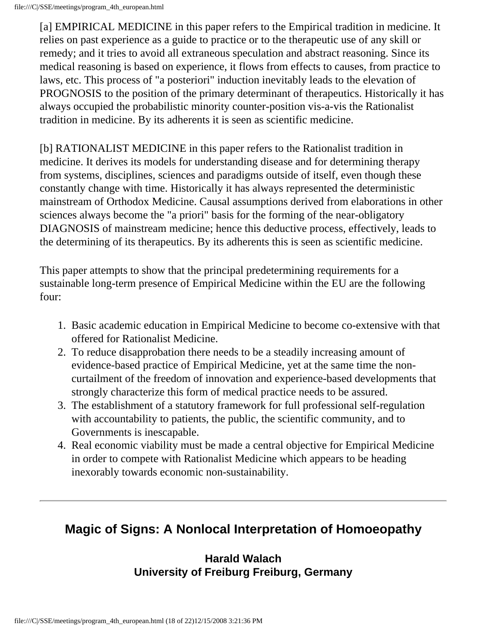[a] EMPIRICAL MEDICINE in this paper refers to the Empirical tradition in medicine. It relies on past experience as a guide to practice or to the therapeutic use of any skill or remedy; and it tries to avoid all extraneous speculation and abstract reasoning. Since its medical reasoning is based on experience, it flows from effects to causes, from practice to laws, etc. This process of "a posteriori" induction inevitably leads to the elevation of PROGNOSIS to the position of the primary determinant of therapeutics. Historically it has always occupied the probabilistic minority counter-position vis-a-vis the Rationalist tradition in medicine. By its adherents it is seen as scientific medicine.

[b] RATIONALIST MEDICINE in this paper refers to the Rationalist tradition in medicine. It derives its models for understanding disease and for determining therapy from systems, disciplines, sciences and paradigms outside of itself, even though these constantly change with time. Historically it has always represented the deterministic mainstream of Orthodox Medicine. Causal assumptions derived from elaborations in other sciences always become the "a priori" basis for the forming of the near-obligatory DIAGNOSIS of mainstream medicine; hence this deductive process, effectively, leads to the determining of its therapeutics. By its adherents this is seen as scientific medicine.

This paper attempts to show that the principal predetermining requirements for a sustainable long-term presence of Empirical Medicine within the EU are the following four:

- 1. Basic academic education in Empirical Medicine to become co-extensive with that offered for Rationalist Medicine.
- 2. To reduce disapprobation there needs to be a steadily increasing amount of evidence-based practice of Empirical Medicine, yet at the same time the noncurtailment of the freedom of innovation and experience-based developments that strongly characterize this form of medical practice needs to be assured.
- 3. The establishment of a statutory framework for full professional self-regulation with accountability to patients, the public, the scientific community, and to Governments is inescapable.
- 4. Real economic viability must be made a central objective for Empirical Medicine in order to compete with Rationalist Medicine which appears to be heading inexorably towards economic non-sustainability.

# **Magic of Signs: A Nonlocal Interpretation of Homoeopathy**

#### **Harald Walach University of Freiburg Freiburg, Germany**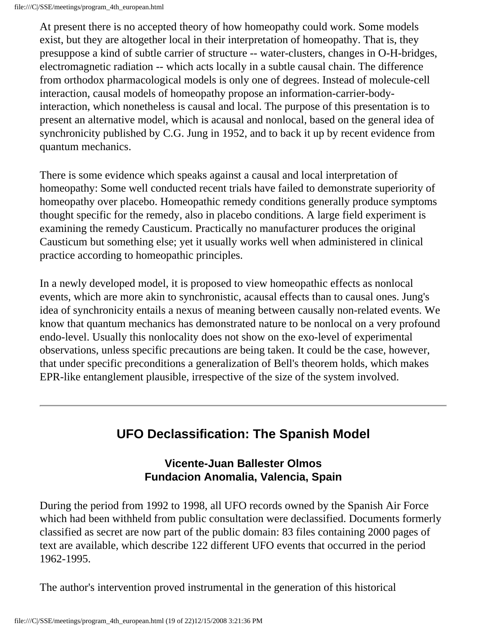At present there is no accepted theory of how homeopathy could work. Some models exist, but they are altogether local in their interpretation of homeopathy. That is, they presuppose a kind of subtle carrier of structure -- water-clusters, changes in O-H-bridges, electromagnetic radiation -- which acts locally in a subtle causal chain. The difference from orthodox pharmacological models is only one of degrees. Instead of molecule-cell interaction, causal models of homeopathy propose an information-carrier-bodyinteraction, which nonetheless is causal and local. The purpose of this presentation is to present an alternative model, which is acausal and nonlocal, based on the general idea of synchronicity published by C.G. Jung in 1952, and to back it up by recent evidence from quantum mechanics.

There is some evidence which speaks against a causal and local interpretation of homeopathy: Some well conducted recent trials have failed to demonstrate superiority of homeopathy over placebo. Homeopathic remedy conditions generally produce symptoms thought specific for the remedy, also in placebo conditions. A large field experiment is examining the remedy Causticum. Practically no manufacturer produces the original Causticum but something else; yet it usually works well when administered in clinical practice according to homeopathic principles.

In a newly developed model, it is proposed to view homeopathic effects as nonlocal events, which are more akin to synchronistic, acausal effects than to causal ones. Jung's idea of synchronicity entails a nexus of meaning between causally non-related events. We know that quantum mechanics has demonstrated nature to be nonlocal on a very profound endo-level. Usually this nonlocality does not show on the exo-level of experimental observations, unless specific precautions are being taken. It could be the case, however, that under specific preconditions a generalization of Bell's theorem holds, which makes EPR-like entanglement plausible, irrespective of the size of the system involved.

## **UFO Declassification: The Spanish Model**

#### **Vicente-Juan Ballester Olmos Fundacion Anomalia, Valencia, Spain**

During the period from 1992 to 1998, all UFO records owned by the Spanish Air Force which had been withheld from public consultation were declassified. Documents formerly classified as secret are now part of the public domain: 83 files containing 2000 pages of text are available, which describe 122 different UFO events that occurred in the period 1962-1995.

The author's intervention proved instrumental in the generation of this historical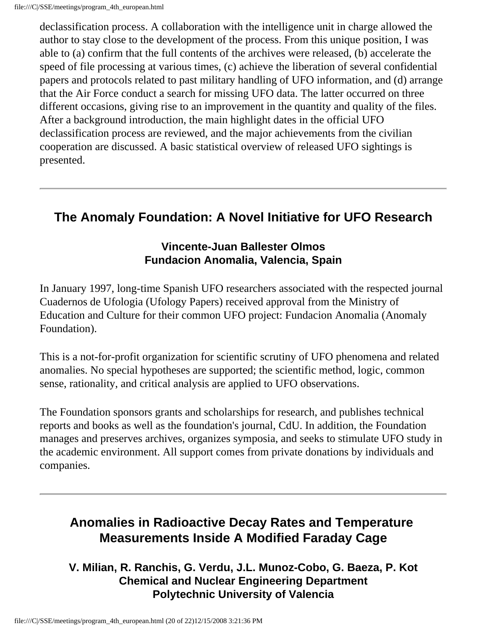declassification process. A collaboration with the intelligence unit in charge allowed the author to stay close to the development of the process. From this unique position, I was able to (a) confirm that the full contents of the archives were released, (b) accelerate the speed of file processing at various times, (c) achieve the liberation of several confidential papers and protocols related to past military handling of UFO information, and (d) arrange that the Air Force conduct a search for missing UFO data. The latter occurred on three different occasions, giving rise to an improvement in the quantity and quality of the files. After a background introduction, the main highlight dates in the official UFO declassification process are reviewed, and the major achievements from the civilian cooperation are discussed. A basic statistical overview of released UFO sightings is presented.

# **The Anomaly Foundation: A Novel Initiative for UFO Research**

#### **Vincente-Juan Ballester Olmos Fundacion Anomalia, Valencia, Spain**

In January 1997, long-time Spanish UFO researchers associated with the respected journal Cuadernos de Ufologia (Ufology Papers) received approval from the Ministry of Education and Culture for their common UFO project: Fundacion Anomalia (Anomaly Foundation).

This is a not-for-profit organization for scientific scrutiny of UFO phenomena and related anomalies. No special hypotheses are supported; the scientific method, logic, common sense, rationality, and critical analysis are applied to UFO observations.

The Foundation sponsors grants and scholarships for research, and publishes technical reports and books as well as the foundation's journal, CdU. In addition, the Foundation manages and preserves archives, organizes symposia, and seeks to stimulate UFO study in the academic environment. All support comes from private donations by individuals and companies.

# **Anomalies in Radioactive Decay Rates and Temperature Measurements Inside A Modified Faraday Cage**

**V. Milian, R. Ranchis, G. Verdu, J.L. Munoz-Cobo, G. Baeza, P. Kot Chemical and Nuclear Engineering Department Polytechnic University of Valencia**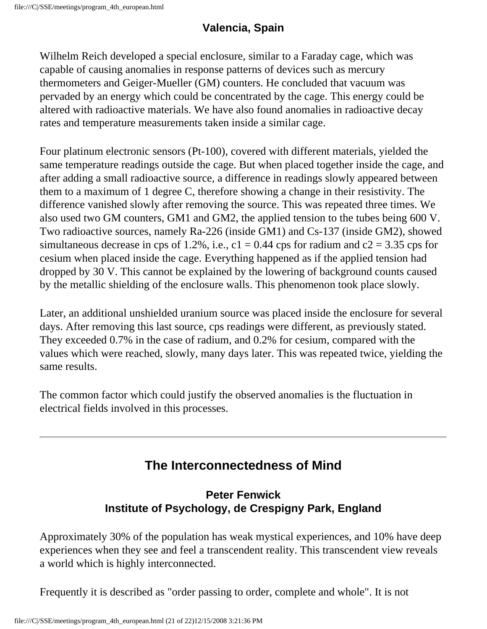## **Valencia, Spain**

Wilhelm Reich developed a special enclosure, similar to a Faraday cage, which was capable of causing anomalies in response patterns of devices such as mercury thermometers and Geiger-Mueller (GM) counters. He concluded that vacuum was pervaded by an energy which could be concentrated by the cage. This energy could be altered with radioactive materials. We have also found anomalies in radioactive decay rates and temperature measurements taken inside a similar cage.

Four platinum electronic sensors (Pt-100), covered with different materials, yielded the same temperature readings outside the cage. But when placed together inside the cage, and after adding a small radioactive source, a difference in readings slowly appeared between them to a maximum of 1 degree C, therefore showing a change in their resistivity. The difference vanished slowly after removing the source. This was repeated three times. We also used two GM counters, GM1 and GM2, the applied tension to the tubes being 600 V. Two radioactive sources, namely Ra-226 (inside GM1) and Cs-137 (inside GM2), showed simultaneous decrease in cps of 1.2%, i.e.,  $c1 = 0.44$  cps for radium and  $c2 = 3.35$  cps for cesium when placed inside the cage. Everything happened as if the applied tension had dropped by 30 V. This cannot be explained by the lowering of background counts caused by the metallic shielding of the enclosure walls. This phenomenon took place slowly.

Later, an additional unshielded uranium source was placed inside the enclosure for several days. After removing this last source, cps readings were different, as previously stated. They exceeded 0.7% in the case of radium, and 0.2% for cesium, compared with the values which were reached, slowly, many days later. This was repeated twice, yielding the same results.

The common factor which could justify the observed anomalies is the fluctuation in electrical fields involved in this processes.

# **The Interconnectedness of Mind**

#### **Peter Fenwick Institute of Psychology, de Crespigny Park, England**

Approximately 30% of the population has weak mystical experiences, and 10% have deep experiences when they see and feel a transcendent reality. This transcendent view reveals a world which is highly interconnected.

Frequently it is described as "order passing to order, complete and whole". It is not